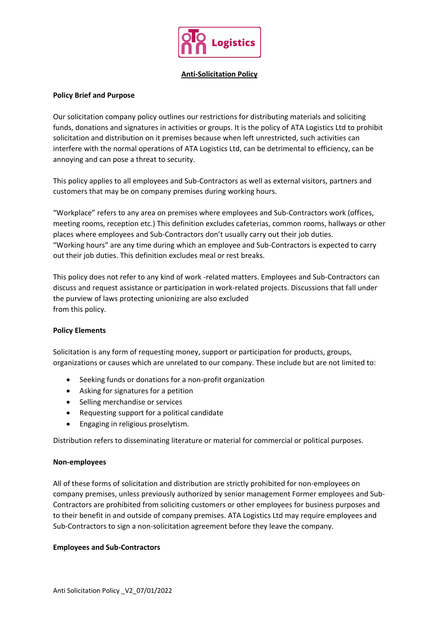

# **Anti-Solicitation Policy**

# **Policy Brief and Purpose**

Our solicitation company policy outlines our restrictions for distributing materials and soliciting funds, donations and signatures in activities or groups. It is the policy of ATA Logistics Ltd to prohibit solicitation and distribution on it premises because when left unrestricted, such activities can interfere with the normal operations of ATA Logistics Ltd, can be detrimental to efficiency, can be annoying and can pose a threat to security.

This policy applies to all employees and Sub-Contractors as well as external visitors, partners and customers that may be on company premises during working hours.

"Workplace" refers to any area on premises where employees and Sub-Contractors work (offices, meeting rooms, reception etc.) This definition excludes cafeterias, common rooms, hallways or other places where employees and Sub-Contractors don't usually carry out their job duties. "Working hours" are any time during which an employee and Sub-Contractors is expected to carry out their job duties. This definition excludes meal or rest breaks.

This policy does not refer to any kind of work -related matters. Employees and Sub-Contractors can discuss and request assistance or participation in work-related projects. Discussions that fall under the purview of laws protecting unionizing are also excluded from this policy.

### **Policy Elements**

Solicitation is any form of requesting money, support or participation for products, groups, organizations or causes which are unrelated to our company. These include but are not limited to:

- Seeking funds or donations for a non-profit organization
- Asking for signatures for a petition
- Selling merchandise or services
- Requesting support for a political candidate
- **•** Engaging in religious proselytism.

Distribution refers to disseminating literature or material for commercial or political purposes.

### **Non-employees**

All of these forms of solicitation and distribution are strictly prohibited for non-employees on company premises, unless previously authorized by senior management Former employees and Sub-Contractors are prohibited from soliciting customers or other employees for business purposes and to their benefit in and outside of company premises. ATA Logistics Ltd may require employees and Sub-Contractors to sign a non-solicitation agreement before they leave the company.

### **Employees and Sub-Contractors**